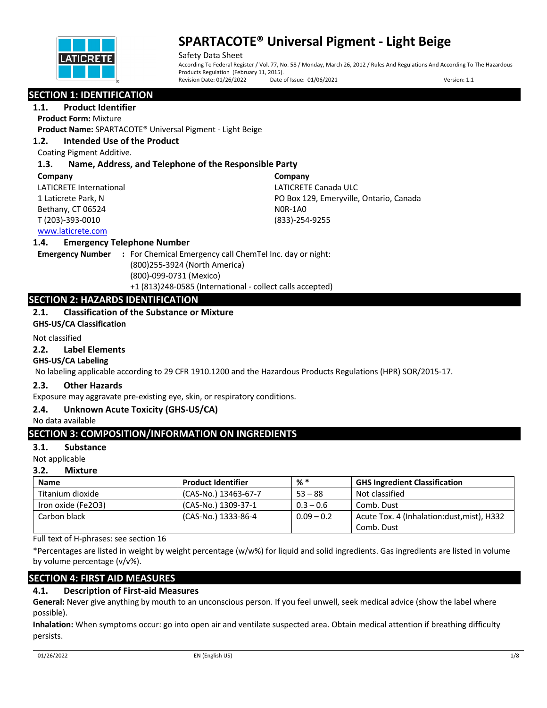

Safety Data Sheet According To Federal Register / Vol. 77, No. 58 / Monday, March 26, 2012 / Rules And Regulations And According To The Hazardous Products Regulation (February 11, 2015).<br>Revision Date: 01/26/2022 Date Date of Issue: 01/06/2021 Version: 1.1

## **SECTION 1: IDENTIFICATION**

**1.1. Product Identifier**

**Product Form:** Mixture

**Product Name:** SPARTACOTE® Universal Pigment - Light Beige

### **1.2. Intended Use of the Product**

Coating Pigment Additive.

### **1.3. Name, Address, and Telephone of the Responsible Party**

### **Company**

LATICRETE International 1 Laticrete Park, N Bethany, CT 06524 T (203)-393-0010

**Company** LATICRETE Canada ULC PO Box 129, Emeryville, Ontario, Canada N0R-1A0 (833)-254-9255

### www.laticrete.com

### **1.4. Emergency Telephone Number**

**Emergency Number :** For Chemical Emergency call ChemTel Inc. day or night: (800)255-3924 (North America) (800)-099-0731 (Mexico) +1 (813)248-0585 (International - collect calls accepted)

## **SECTION 2: HAZARDS IDENTIFICATION**

## **2.1. Classification of the Substance or Mixture**

**GHS-US/CA Classification**

### Not classified

### **2.2. Label Elements**

### **GHS-US/CA Labeling**

No labeling applicable according to 29 CFR 1910.1200 and the Hazardous Products Regulations (HPR) SOR/2015-17.

### **2.3. Other Hazards**

Exposure may aggravate pre-existing eye, skin, or respiratory conditions.

### **2.4. Unknown Acute Toxicity (GHS-US/CA)**

No data available

## **SECTION 3: COMPOSITION/INFORMATION ON INGREDIENTS**

### **3.1. Substance**

Not applicable

### **3.2. Mixture**

| <b>Name</b>        | <b>Product Identifier</b> | %*           | <b>GHS Ingredient Classification</b>        |
|--------------------|---------------------------|--------------|---------------------------------------------|
| Titanium dioxide   | (CAS-No.) 13463-67-7      | $53 - 88$    | Not classified                              |
| Iron oxide (Fe2O3) | (CAS-No.) 1309-37-1       | $0.3 - 0.6$  | Comb. Dust                                  |
| Carbon black       | (CAS-No.) 1333-86-4       | $0.09 - 0.2$ | Acute Tox. 4 (Inhalation: dust, mist), H332 |
|                    |                           |              | Comb. Dust                                  |

Full text of H-phrases: see section 16

\*Percentages are listed in weight by weight percentage (w/w%) for liquid and solid ingredients. Gas ingredients are listed in volume by volume percentage (v/v%).

## **SECTION 4: FIRST AID MEASURES**

## **4.1. Description of First-aid Measures**

**General:** Never give anything by mouth to an unconscious person. If you feel unwell, seek medical advice (show the label where possible).

**Inhalation:** When symptoms occur: go into open air and ventilate suspected area. Obtain medical attention if breathing difficulty persists.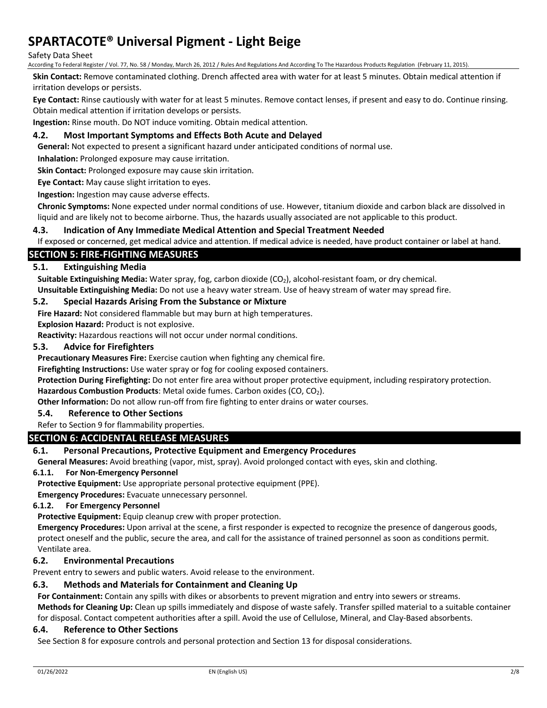### Safety Data Sheet

According To Federal Register / Vol. 77, No. 58 / Monday, March 26, 2012 / Rules And Regulations And According To The Hazardous Products Regulation (February 11, 2015).

**Skin Contact:** Remove contaminated clothing. Drench affected area with water for at least 5 minutes. Obtain medical attention if irritation develops or persists.

**Eye Contact:** Rinse cautiously with water for at least 5 minutes. Remove contact lenses, if present and easy to do. Continue rinsing. Obtain medical attention if irritation develops or persists.

**Ingestion:** Rinse mouth. Do NOT induce vomiting. Obtain medical attention.

### **4.2. Most Important Symptoms and Effects Both Acute and Delayed**

**General:** Not expected to present a significant hazard under anticipated conditions of normal use.

**Inhalation:** Prolonged exposure may cause irritation.

**Skin Contact:** Prolonged exposure may cause skin irritation.

**Eye Contact:** May cause slight irritation to eyes.

**Ingestion:** Ingestion may cause adverse effects.

**Chronic Symptoms:** None expected under normal conditions of use. However, titanium dioxide and carbon black are dissolved in liquid and are likely not to become airborne. Thus, the hazards usually associated are not applicable to this product.

### **4.3. Indication of Any Immediate Medical Attention and Special Treatment Needed**

If exposed or concerned, get medical advice and attention. If medical advice is needed, have product container or label at hand.

### **SECTION 5: FIRE-FIGHTING MEASURES**

### **5.1. Extinguishing Media**

Suitable Extinguishing Media: Water spray, fog, carbon dioxide (CO<sub>2</sub>), alcohol-resistant foam, or dry chemical. **Unsuitable Extinguishing Media:** Do not use a heavy water stream. Use of heavy stream of water may spread fire.

### **5.2. Special Hazards Arising From the Substance or Mixture**

**Fire Hazard:** Not considered flammable but may burn at high temperatures.

**Explosion Hazard:** Product is not explosive.

**Reactivity:** Hazardous reactions will not occur under normal conditions.

#### **5.3. Advice for Firefighters**

**Precautionary Measures Fire:** Exercise caution when fighting any chemical fire.

**Firefighting Instructions:** Use water spray or fog for cooling exposed containers.

**Protection During Firefighting:** Do not enter fire area without proper protective equipment, including respiratory protection.

Hazardous Combustion Products: Metal oxide fumes. Carbon oxides (CO, CO<sub>2</sub>).

**Other Information:** Do not allow run-off from fire fighting to enter drains or water courses.

### **5.4. Reference to Other Sections**

#### Refer to Section 9 for flammability properties.

### **SECTION 6: ACCIDENTAL RELEASE MEASURES**

### **6.1. Personal Precautions, Protective Equipment and Emergency Procedures**

**General Measures:** Avoid breathing (vapor, mist, spray). Avoid prolonged contact with eyes, skin and clothing.

#### **6.1.1. For Non-Emergency Personnel**

**Protective Equipment:** Use appropriate personal protective equipment (PPE).

**Emergency Procedures:** Evacuate unnecessary personnel.

### **6.1.2. For Emergency Personnel**

**Protective Equipment:** Equip cleanup crew with proper protection.

**Emergency Procedures:** Upon arrival at the scene, a first responder is expected to recognize the presence of dangerous goods, protect oneself and the public, secure the area, and call for the assistance of trained personnel as soon as conditions permit. Ventilate area.

### **6.2. Environmental Precautions**

Prevent entry to sewers and public waters. Avoid release to the environment.

### **6.3. Methods and Materials for Containment and Cleaning Up**

**For Containment:** Contain any spills with dikes or absorbents to prevent migration and entry into sewers or streams.

**Methods for Cleaning Up:** Clean up spills immediately and dispose of waste safely. Transfer spilled material to a suitable container for disposal. Contact competent authorities after a spill. Avoid the use of Cellulose, Mineral, and Clay-Based absorbents.

#### **6.4. Reference to Other Sections**

See Section 8 for exposure controls and personal protection and Section 13 for disposal considerations.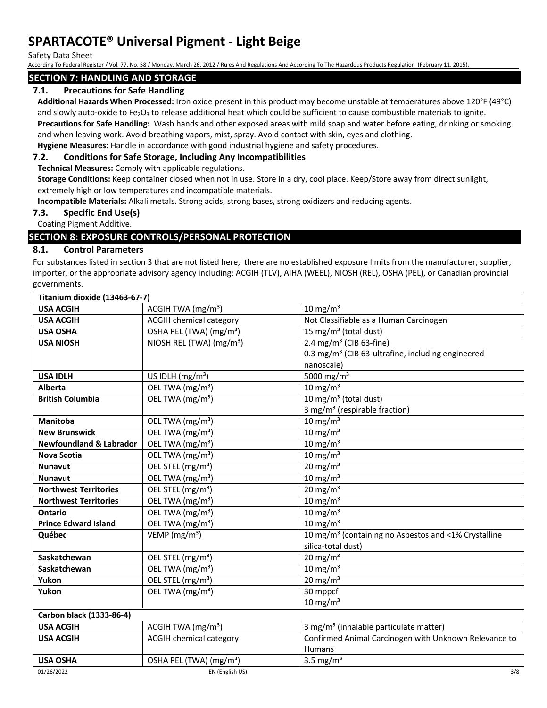Safety Data Sheet

According To Federal Register / Vol. 77, No. 58 / Monday, March 26, 2012 / Rules And Regulations And According To The Hazardous Products Regulation (February 11, 2015).

## **SECTION 7: HANDLING AND STORAGE**

## **7.1. Precautions for Safe Handling**

**Additional Hazards When Processed:** Iron oxide present in this product may become unstable at temperatures above 120°F (49°C) and slowly auto-oxide to Fe<sub>2</sub>O<sub>3</sub> to release additional heat which could be sufficient to cause combustible materials to ignite.

**Precautions for Safe Handling:** Wash hands and other exposed areas with mild soap and water before eating, drinking or smoking and when leaving work. Avoid breathing vapors, mist, spray. Avoid contact with skin, eyes and clothing.

**Hygiene Measures:** Handle in accordance with good industrial hygiene and safety procedures.

## **7.2. Conditions for Safe Storage, Including Any Incompatibilities**

**Technical Measures:** Comply with applicable regulations.

**Storage Conditions:** Keep container closed when not in use. Store in a dry, cool place. Keep/Store away from direct sunlight, extremely high or low temperatures and incompatible materials.

**Incompatible Materials:** Alkali metals. Strong acids, strong bases, strong oxidizers and reducing agents.

### **7.3. Specific End Use(s)**

Coating Pigment Additive.

## **SECTION 8: EXPOSURE CONTROLS/PERSONAL PROTECTION**

### **8.1. Control Parameters**

For substances listed in section 3 that are not listed here, there are no established exposure limits from the manufacturer, supplier, importer, or the appropriate advisory agency including: ACGIH (TLV), AIHA (WEEL), NIOSH (REL), OSHA (PEL), or Canadian provincial governments.

| Titanium dioxide (13463-67-7)      |                                      |                                                                  |  |  |
|------------------------------------|--------------------------------------|------------------------------------------------------------------|--|--|
| <b>USA ACGIH</b>                   | ACGIH TWA $(mg/m3)$                  | $10 \text{ mg/m}^3$                                              |  |  |
| <b>USA ACGIH</b>                   | <b>ACGIH chemical category</b>       | Not Classifiable as a Human Carcinogen                           |  |  |
| <b>USA OSHA</b>                    | OSHA PEL (TWA) (mg/m <sup>3</sup> )  | 15 mg/m <sup>3</sup> (total dust)                                |  |  |
| <b>USA NIOSH</b>                   | NIOSH REL (TWA) (mg/m <sup>3</sup> ) | 2.4 mg/m <sup>3</sup> (CIB 63-fine)                              |  |  |
|                                    |                                      | 0.3 mg/m <sup>3</sup> (CIB 63-ultrafine, including engineered    |  |  |
|                                    |                                      | nanoscale)                                                       |  |  |
| <b>USA IDLH</b>                    | US IDLH $(mg/m3)$                    | 5000 mg/m <sup>3</sup>                                           |  |  |
| <b>Alberta</b>                     | OEL TWA (mg/m <sup>3</sup> )         | $10 \text{ mg/m}^3$                                              |  |  |
| <b>British Columbia</b>            | OEL TWA (mg/m <sup>3</sup> )         | 10 mg/m $3$ (total dust)                                         |  |  |
|                                    |                                      | 3 mg/m <sup>3</sup> (respirable fraction)                        |  |  |
| <b>Manitoba</b>                    | OEL TWA (mg/m <sup>3</sup> )         | $10 \text{ mg/m}^3$                                              |  |  |
| <b>New Brunswick</b>               | OEL TWA (mg/m <sup>3</sup> )         | $10 \text{ mg/m}^3$                                              |  |  |
| <b>Newfoundland &amp; Labrador</b> | OEL TWA (mg/m <sup>3</sup> )         | 10 mg/m $3$                                                      |  |  |
| <b>Nova Scotia</b>                 | OEL TWA (mg/m <sup>3</sup> )         | 10 mg/m $3$                                                      |  |  |
| <b>Nunavut</b>                     | OEL STEL (mg/m <sup>3</sup> )        | 20 mg/m $3$                                                      |  |  |
| <b>Nunavut</b>                     | OEL TWA (mg/m <sup>3</sup> )         | $10 \text{ mg/m}^3$                                              |  |  |
| <b>Northwest Territories</b>       | OEL STEL (mg/m <sup>3</sup> )        | 20 mg/m $3$                                                      |  |  |
| <b>Northwest Territories</b>       | OEL TWA (mg/m <sup>3</sup> )         | $10 \text{ mg/m}^3$                                              |  |  |
| Ontario                            | OEL TWA (mg/m <sup>3</sup> )         | 10 mg/m $3$                                                      |  |  |
| <b>Prince Edward Island</b>        | OEL TWA (mg/m <sup>3</sup> )         | 10 mg/ $m3$                                                      |  |  |
| Québec                             | VEMP ( $mg/m3$ )                     | 10 mg/m <sup>3</sup> (containing no Asbestos and <1% Crystalline |  |  |
|                                    |                                      | silica-total dust)                                               |  |  |
| Saskatchewan                       | OEL STEL (mg/m <sup>3</sup> )        | $20 \text{ mg/m}^3$                                              |  |  |
| Saskatchewan                       | OEL TWA (mg/m <sup>3</sup> )         | 10 mg/m $3$                                                      |  |  |
| Yukon                              | OEL STEL (mg/m <sup>3</sup> )        | 20 mg/m $3$                                                      |  |  |
| Yukon                              | OEL TWA (mg/m <sup>3</sup> )         | 30 mppcf                                                         |  |  |
|                                    |                                      | $10 \text{ mg/m}^3$                                              |  |  |
| Carbon black (1333-86-4)           |                                      |                                                                  |  |  |
| <b>USA ACGIH</b>                   | ACGIH TWA $(mg/m3)$                  | 3 mg/m <sup>3</sup> (inhalable particulate matter)               |  |  |
| <b>USA ACGIH</b>                   | <b>ACGIH chemical category</b>       | Confirmed Animal Carcinogen with Unknown Relevance to            |  |  |
|                                    |                                      | <b>Humans</b>                                                    |  |  |
| <b>USA OSHA</b>                    | OSHA PEL (TWA) (mg/m <sup>3</sup> )  | 3.5 mg/ $m3$                                                     |  |  |
| 01/26/2022                         | EN (English US)                      | 3/8                                                              |  |  |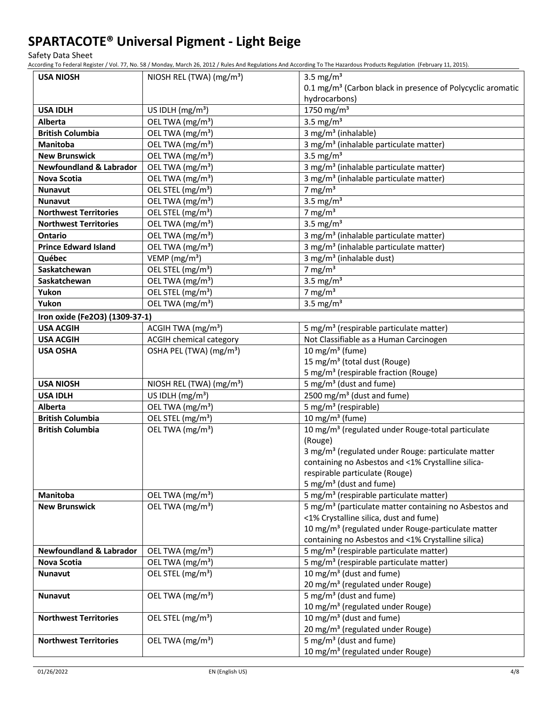Safety Data Sheet

According To Federal Register / Vol. 77, No. 58 / Monday, March 26, 2012 / Rules And Regulations And According To The Hazardous Products Regulation (February 11, 2015).

| <b>USA NIOSH</b>                   | NIOSH REL (TWA) (mg/m <sup>3</sup> ) | 3.5 mg/ $m3$                                                           |
|------------------------------------|--------------------------------------|------------------------------------------------------------------------|
|                                    |                                      | 0.1 mg/m <sup>3</sup> (Carbon black in presence of Polycyclic aromatic |
|                                    |                                      | hydrocarbons)                                                          |
| <b>USA IDLH</b>                    | US IDLH $(mg/m3)$                    | 1750 mg/m <sup>3</sup>                                                 |
| <b>Alberta</b>                     | OEL TWA (mg/m <sup>3</sup> )         | 3.5 mg/ $m3$                                                           |
| <b>British Columbia</b>            | OEL TWA (mg/m <sup>3</sup> )         | 3 mg/m <sup>3</sup> (inhalable)                                        |
| <b>Manitoba</b>                    | OEL TWA (mg/m <sup>3</sup> )         | 3 mg/m <sup>3</sup> (inhalable particulate matter)                     |
| <b>New Brunswick</b>               | OEL TWA (mg/m <sup>3</sup> )         | 3.5 mg/ $m3$                                                           |
| <b>Newfoundland &amp; Labrador</b> | OEL TWA (mg/m <sup>3</sup> )         | 3 mg/m <sup>3</sup> (inhalable particulate matter)                     |
| Nova Scotia                        | OEL TWA (mg/m <sup>3</sup> )         | 3 mg/m <sup>3</sup> (inhalable particulate matter)                     |
| <b>Nunavut</b>                     | OEL STEL (mg/m <sup>3</sup> )        | 7 mg/m $3$                                                             |
| <b>Nunavut</b>                     | OEL TWA (mg/m <sup>3</sup> )         | 3.5 mg/ $m3$                                                           |
| <b>Northwest Territories</b>       | OEL STEL (mg/m <sup>3</sup> )        | 7 mg/m $3$                                                             |
| <b>Northwest Territories</b>       | OEL TWA (mg/m <sup>3</sup> )         | 3.5 mg/ $m3$                                                           |
| <b>Ontario</b>                     | OEL TWA (mg/m <sup>3</sup> )         | 3 mg/m <sup>3</sup> (inhalable particulate matter)                     |
| <b>Prince Edward Island</b>        | OEL TWA (mg/m <sup>3</sup> )         | 3 mg/m <sup>3</sup> (inhalable particulate matter)                     |
| Québec                             | VEMP ( $mg/m3$ )                     | 3 mg/m <sup>3</sup> (inhalable dust)                                   |
| Saskatchewan                       | OEL STEL (mg/m <sup>3</sup> )        | 7 mg/m $3$                                                             |
| Saskatchewan                       | OEL TWA (mg/m <sup>3</sup> )         | 3.5 mg/ $m3$                                                           |
| Yukon                              | OEL STEL (mg/m <sup>3</sup> )        | 7 mg/m $3$                                                             |
| Yukon                              | OEL TWA (mg/m <sup>3</sup> )         | 3.5 mg/ $m3$                                                           |
| Iron oxide (Fe2O3) (1309-37-1)     |                                      |                                                                        |
| <b>USA ACGIH</b>                   | ACGIH TWA (mg/m <sup>3</sup> )       | 5 mg/m <sup>3</sup> (respirable particulate matter)                    |
| <b>USA ACGIH</b>                   | <b>ACGIH chemical category</b>       | Not Classifiable as a Human Carcinogen                                 |
| <b>USA OSHA</b>                    | OSHA PEL (TWA) (mg/m <sup>3</sup> )  | 10 mg/m <sup>3</sup> (fume)                                            |
|                                    |                                      | 15 mg/m <sup>3</sup> (total dust (Rouge)                               |
|                                    |                                      | 5 mg/m <sup>3</sup> (respirable fraction (Rouge)                       |
| <b>USA NIOSH</b>                   | NIOSH REL (TWA) (mg/m <sup>3</sup> ) | 5 mg/m <sup>3</sup> (dust and fume)                                    |
| <b>USA IDLH</b>                    | US IDLH (mg/m <sup>3</sup> )         | 2500 mg/m <sup>3</sup> (dust and fume)                                 |
| Alberta                            | OEL TWA (mg/m <sup>3</sup> )         | 5 mg/m <sup>3</sup> (respirable)                                       |
| <b>British Columbia</b>            | OEL STEL (mg/m <sup>3</sup> )        | 10 mg/m $3$ (fume)                                                     |
| <b>British Columbia</b>            | OEL TWA (mg/m <sup>3</sup> )         | 10 mg/m <sup>3</sup> (regulated under Rouge-total particulate          |
|                                    |                                      | (Rouge)                                                                |
|                                    |                                      | 3 mg/m <sup>3</sup> (regulated under Rouge: particulate matter         |
|                                    |                                      | containing no Asbestos and <1% Crystalline silica-                     |
|                                    |                                      | respirable particulate (Rouge)                                         |
|                                    |                                      | 5 mg/m <sup>3</sup> (dust and fume)                                    |
| Manitoba                           | OEL TWA (mg/m <sup>3</sup> )         | 5 mg/m <sup>3</sup> (respirable particulate matter)                    |
| <b>New Brunswick</b>               | OEL TWA (mg/m <sup>3</sup> )         | 5 mg/m <sup>3</sup> (particulate matter containing no Asbestos and     |
|                                    |                                      | <1% Crystalline silica, dust and fume)                                 |
|                                    |                                      | 10 mg/m <sup>3</sup> (regulated under Rouge-particulate matter         |
|                                    |                                      | containing no Asbestos and <1% Crystalline silica)                     |
| <b>Newfoundland &amp; Labrador</b> | OEL TWA (mg/m <sup>3</sup> )         | 5 mg/m <sup>3</sup> (respirable particulate matter)                    |
| Nova Scotia                        | OEL TWA (mg/m <sup>3</sup> )         | 5 mg/m <sup>3</sup> (respirable particulate matter)                    |
| Nunavut                            | OEL STEL (mg/m <sup>3</sup> )        | $\frac{10 \text{ mg}}{m^3}$ (dust and fume)                            |
|                                    |                                      | 20 mg/m <sup>3</sup> (regulated under Rouge)                           |
| <b>Nunavut</b>                     | OEL TWA (mg/m <sup>3</sup> )         | 5 mg/m <sup>3</sup> (dust and fume)                                    |
|                                    |                                      | 10 mg/m <sup>3</sup> (regulated under Rouge)                           |
| <b>Northwest Territories</b>       | OEL STEL (mg/m <sup>3</sup> )        | $10 \text{ mg/m}^3$ (dust and fume)                                    |
|                                    |                                      | 20 mg/m <sup>3</sup> (regulated under Rouge)                           |
| <b>Northwest Territories</b>       | OEL TWA (mg/m <sup>3</sup> )         | 5 mg/m <sup>3</sup> (dust and fume)                                    |
|                                    |                                      | 10 mg/m <sup>3</sup> (regulated under Rouge)                           |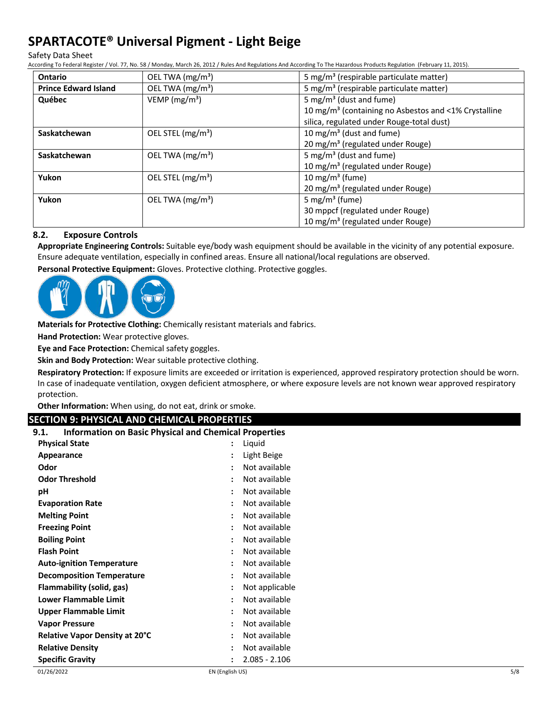Safety Data Sheet

According To Federal Register / Vol. 77, No. 58 / Monday, March 26, 2012 / Rules And Regulations And According To The Hazardous Products Regulation (February 11, 2015).

| <b>Ontario</b>              | OEL TWA (mg/m <sup>3</sup> ) | 5 mg/m <sup>3</sup> (respirable particulate matter)              |  |
|-----------------------------|------------------------------|------------------------------------------------------------------|--|
| <b>Prince Edward Island</b> | OEL TWA (mg/m <sup>3</sup> ) | 5 mg/m <sup>3</sup> (respirable particulate matter)              |  |
| Québec                      | VEMP ( $mg/m3$ )             | 5 mg/m <sup>3</sup> (dust and fume)                              |  |
|                             |                              | 10 mg/m <sup>3</sup> (containing no Asbestos and <1% Crystalline |  |
|                             |                              | silica, regulated under Rouge-total dust)                        |  |
| Saskatchewan                | OEL STEL $(mg/m3)$           | 10 mg/m <sup>3</sup> (dust and fume)                             |  |
|                             |                              | 20 mg/m <sup>3</sup> (regulated under Rouge)                     |  |
| Saskatchewan                | OEL TWA $(mg/m3)$            | 5 mg/m <sup>3</sup> (dust and fume)                              |  |
|                             |                              | 10 mg/m <sup>3</sup> (regulated under Rouge)                     |  |
| Yukon                       | OEL STEL $(mg/m3)$           | 10 mg/m <sup>3</sup> (fume)                                      |  |
|                             |                              | 20 mg/m <sup>3</sup> (regulated under Rouge)                     |  |
| Yukon                       | OEL TWA $(mg/m3)$            | 5 mg/m <sup>3</sup> (fume)                                       |  |
|                             |                              | 30 mppcf (regulated under Rouge)                                 |  |
|                             |                              | 10 mg/m <sup>3</sup> (regulated under Rouge)                     |  |

### **8.2. Exposure Controls**

**Appropriate Engineering Controls:** Suitable eye/body wash equipment should be available in the vicinity of any potential exposure. Ensure adequate ventilation, especially in confined areas. Ensure all national/local regulations are observed.

**Personal Protective Equipment:** Gloves. Protective clothing. Protective goggles.



**Materials for Protective Clothing:** Chemically resistant materials and fabrics.

**Hand Protection:** Wear protective gloves.

**Eye and Face Protection:** Chemical safety goggles.

**Skin and Body Protection:** Wear suitable protective clothing.

**Respiratory Protection:** If exposure limits are exceeded or irritation is experienced, approved respiratory protection should be worn. In case of inadequate ventilation, oxygen deficient atmosphere, or where exposure levels are not known wear approved respiratory protection.

**Other Information:** When using, do not eat, drink or smoke.

## **SECTION 9: PHYSICAL AND CHEMICAL PROPERTIES**

| <b>Information on Basic Physical and Chemical Properties</b><br>9.1. |                      |                 |
|----------------------------------------------------------------------|----------------------|-----------------|
| <b>Physical State</b>                                                |                      | Liquid          |
| Appearance                                                           | $\ddot{\phantom{a}}$ | Light Beige     |
| Odor                                                                 |                      | Not available   |
| <b>Odor Threshold</b>                                                |                      | Not available   |
| рH                                                                   |                      | Not available   |
| <b>Evaporation Rate</b>                                              | $\cdot$              | Not available   |
| <b>Melting Point</b>                                                 |                      | Not available   |
| <b>Freezing Point</b>                                                |                      | Not available   |
| <b>Boiling Point</b>                                                 | $\cdot$              | Not available   |
| <b>Flash Point</b>                                                   | ٠                    | Not available   |
| <b>Auto-ignition Temperature</b>                                     | $\ddot{\cdot}$       | Not available   |
| <b>Decomposition Temperature</b>                                     |                      | Not available   |
| Flammability (solid, gas)                                            | $\ddot{\phantom{a}}$ | Not applicable  |
| Lower Flammable Limit                                                | $\ddot{\cdot}$       | Not available   |
| Upper Flammable Limit                                                |                      | Not available   |
| <b>Vapor Pressure</b>                                                |                      | Not available   |
| <b>Relative Vapor Density at 20°C</b>                                |                      | Not available   |
| <b>Relative Density</b>                                              | $\ddot{\cdot}$       | Not available   |
| <b>Specific Gravity</b>                                              |                      | $2.085 - 2.106$ |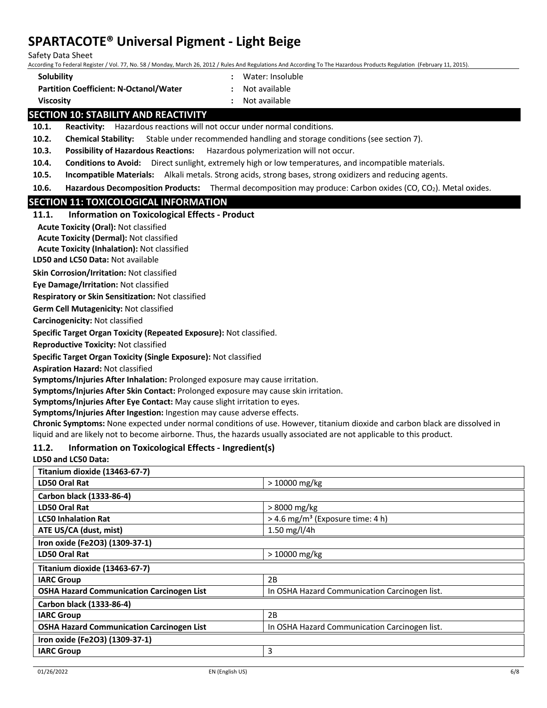Safety Data Sheet

According To Federal Register / Vol. 77, No. 58 / Monday, March 26, 2012 / Rules And Regulations And According To The Hazardous Products Regulation (February 11, 2015).

- **Solubility :** Water: Insoluble
- **Partition Coefficient: N-Octanol/Water :** Not available
- 
- **Viscosity :** Not available

## **SECTION 10: STABILITY AND REACTIVITY**

**10.1. Reactivity:** Hazardous reactions will not occur under normal conditions.

**10.2. Chemical Stability:** Stable under recommended handling and storage conditions (see section 7).

**10.3. Possibility of Hazardous Reactions:** Hazardous polymerization will not occur.

**10.4. Conditions to Avoid:** Direct sunlight, extremely high or low temperatures, and incompatible materials.

**10.5. Incompatible Materials:** Alkali metals. Strong acids, strong bases, strong oxidizers and reducing agents.

**10.6. Hazardous Decomposition Products:** Thermal decomposition may produce: Carbon oxides (CO, CO<sub>2</sub>). Metal oxides.

## **SECTION 11: TOXICOLOGICAL INFORMATION**

### **11.1. Information on Toxicological Effects - Product**

**Acute Toxicity (Oral):** Not classified

**Acute Toxicity (Dermal):** Not classified

**Acute Toxicity (Inhalation):** Not classified

**LD50 and LC50 Data:** Not available

**Skin Corrosion/Irritation:** Not classified

**Eye Damage/Irritation:** Not classified

**Respiratory or Skin Sensitization:** Not classified

**Germ Cell Mutagenicity:** Not classified

**Carcinogenicity:** Not classified

**Specific Target Organ Toxicity (Repeated Exposure):** Not classified.

**Reproductive Toxicity:** Not classified

**Specific Target Organ Toxicity (Single Exposure):** Not classified

**Aspiration Hazard:** Not classified

**Symptoms/Injuries After Inhalation:** Prolonged exposure may cause irritation.

**Symptoms/Injuries After Skin Contact:** Prolonged exposure may cause skin irritation.

**Symptoms/Injuries After Eye Contact:** May cause slight irritation to eyes.

**Symptoms/Injuries After Ingestion:** Ingestion may cause adverse effects.

**Chronic Symptoms:** None expected under normal conditions of use. However, titanium dioxide and carbon black are dissolved in liquid and are likely not to become airborne. Thus, the hazards usually associated are not applicable to this product.

## **11.2. Information on Toxicological Effects - Ingredient(s)**

### **LD50 and LC50 Data:**

| Titanium dioxide (13463-67-7)                    |                                                |
|--------------------------------------------------|------------------------------------------------|
| LD50 Oral Rat                                    | $>10000$ mg/kg                                 |
| Carbon black (1333-86-4)                         |                                                |
| LD50 Oral Rat                                    | $>8000$ mg/kg                                  |
| <b>LC50 Inhalation Rat</b>                       | $>$ 4.6 mg/m <sup>3</sup> (Exposure time: 4 h) |
| ATE US/CA (dust, mist)                           | 1.50 mg/l/4h                                   |
| Iron oxide (Fe2O3) (1309-37-1)                   |                                                |
| LD50 Oral Rat                                    | > 10000 mg/kg                                  |
| Titanium dioxide (13463-67-7)                    |                                                |
| <b>IARC Group</b>                                | 2B                                             |
| <b>OSHA Hazard Communication Carcinogen List</b> | In OSHA Hazard Communication Carcinogen list.  |
| Carbon black (1333-86-4)                         |                                                |
| <b>IARC Group</b>                                | 2B                                             |
| <b>OSHA Hazard Communication Carcinogen List</b> | In OSHA Hazard Communication Carcinogen list.  |
| Iron oxide (Fe2O3) (1309-37-1)                   |                                                |
| <b>IARC Group</b>                                | 3                                              |
|                                                  |                                                |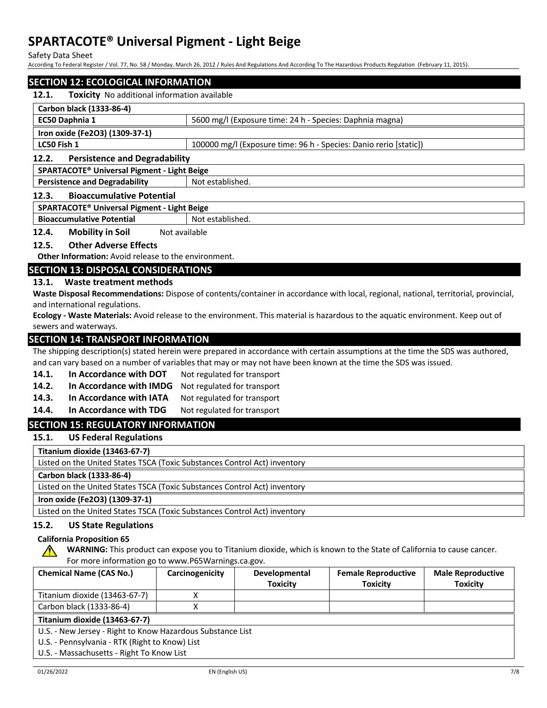Safety Data Sheet

According To Federal Register / Vol. 77, No. 58 / Monday, March 26, 2012 / Rules And Regulations And According To The Hazardous Products Regulation (February 11, 2015).

## **SECTION 12: ECOLOGICAL INFORMATION 12.1. Toxicity** No additional information available **Carbon black (1333-86-4) EC50 Daphnia 1** 5600 mg/l (Exposure time: 24 h - Species: Daphnia magna) **Iron oxide (Fe2O3) (1309-37-1) LC50 Fish 1** 100000 mg/l (Exposure time: 96 h - Species: Danio rerio [static]) **12.2. Persistence and Degradability SPARTACOTE® Universal Pigment - Light Beige Persistence and Degradability** Not established. **12.3. Bioaccumulative Potential SPARTACOTE® Universal Pigment - Light Beige**

**Bioaccumulative Potential** Not established.

**12.4. Mobility in Soil** Not available

### **12.5. Other Adverse Effects**

**Other Information:** Avoid release to the environment.

## **SECTION 13: DISPOSAL CONSIDERATIONS**

### **13.1. Waste treatment methods**

**Waste Disposal Recommendations:** Dispose of contents/container in accordance with local, regional, national, territorial, provincial, and international regulations.

**Ecology - Waste Materials:** Avoid release to the environment. This material is hazardous to the aquatic environment. Keep out of sewers and waterways.

## **SECTION 14: TRANSPORT INFORMATION**

The shipping description(s) stated herein were prepared in accordance with certain assumptions at the time the SDS was authored, and can vary based on a number of variables that may or may not have been known at the time the SDS was issued.

- 14.1. In Accordance with DOT Not regulated for transport
- **14.2. In Accordance with IMDG** Not regulated for transport
- 14.3. In Accordance with IATA Not regulated for transport
- 14.4. In Accordance with TDG Not regulated for transport

## **SECTION 15: REGULATORY INFORMATION**

**15.1. US Federal Regulations**

**Titanium dioxide (13463-67-7)**

Listed on the United States TSCA (Toxic Substances Control Act) inventory

**Carbon black (1333-86-4)**

Listed on the United States TSCA (Toxic Substances Control Act) inventory

## **Iron oxide (Fe2O3) (1309-37-1)**

Listed on the United States TSCA (Toxic Substances Control Act) inventory

## **15.2. US State Regulations**

## **California Proposition 65**

**WARNING:** This product can expose you to Titanium dioxide, which is known to the State of California to cause cancer. For more information go to www.P65Warnings.ca.gov.

| <b>Chemical Name (CAS No.)</b>                             | Carcinogenicity | <b>Developmental</b> | <b>Female Reproductive</b> | <b>Male Reproductive</b> |
|------------------------------------------------------------|-----------------|----------------------|----------------------------|--------------------------|
|                                                            |                 | <b>Toxicity</b>      | <b>Toxicity</b>            | <b>Toxicity</b>          |
| Titanium dioxide (13463-67-7)                              |                 |                      |                            |                          |
| Carbon black (1333-86-4)                                   |                 |                      |                            |                          |
| Titanium dioxide (13463-67-7)                              |                 |                      |                            |                          |
| U.S. - New Jersey - Right to Know Hazardous Substance List |                 |                      |                            |                          |
| U.S. - Pennsylvania - RTK (Right to Know) List             |                 |                      |                            |                          |
| U.S. - Massachusetts - Right To Know List                  |                 |                      |                            |                          |

∕Ր